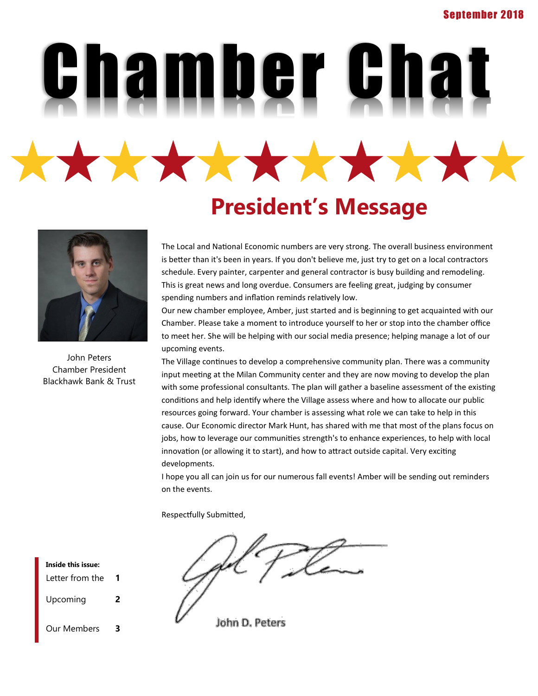Chamber Chat \*\*\*\*\*\*\*\*\*\*\*

## **President's Message**



John Peters Chamber President Blackhawk Bank & Trust The Local and National Economic numbers are very strong. The overall business environment is better than it's been in years. If you don't believe me, just try to get on a local contractors schedule. Every painter, carpenter and general contractor is busy building and remodeling. This is great news and long overdue. Consumers are feeling great, judging by consumer spending numbers and inflation reminds relatively low.

Our new chamber employee, Amber, just started and is beginning to get acquainted with our Chamber. Please take a moment to introduce yourself to her or stop into the chamber office to meet her. She will be helping with our social media presence; helping manage a lot of our upcoming events.

The Village continues to develop a comprehensive community plan. There was a community input meeting at the Milan Community center and they are now moving to develop the plan with some professional consultants. The plan will gather a baseline assessment of the existing conditions and help identify where the Village assess where and how to allocate our public resources going forward. Your chamber is assessing what role we can take to help in this cause. Our Economic director Mark Hunt, has shared with me that most of the plans focus on jobs, how to leverage our communities strength's to enhance experiences, to help with local innovation (or allowing it to start), and how to attract outside capital. Very exciting developments.

I hope you all can join us for our numerous fall events! Amber will be sending out reminders on the events.

Respectfully Submitted,

John D. Peters

Letter from the **1** Upcoming **2** Our Members **3 Inside this issue:**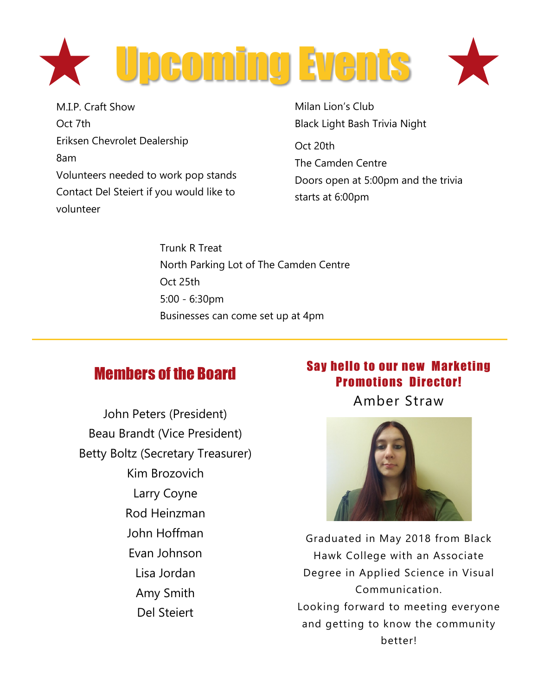

M.I.P. Craft Show Oct 7th Eriksen Chevrolet Dealership 8am Volunteers needed to work pop stands Contact Del Steiert if you would like to volunteer

Milan Lion's Club Black Light Bash Trivia Night

Oct 20th The Camden Centre Doors open at 5:00pm and the trivia starts at 6:00pm

Trunk R Treat North Parking Lot of The Camden Centre Oct 25th 5:00 - 6:30pm Businesses can come set up at 4pm

## Members of the Board

John Peters (President) Beau Brandt (Vice President) Betty Boltz (Secretary Treasurer) Kim Brozovich Larry Coyne Rod Heinzman John Hoffman Evan Johnson Lisa Jordan Amy Smith Del Steiert

## Say hello to our new Marketing Promotions Director!

Amber Straw



Graduated in May 2018 from Black Hawk College with an Associate Degree in Applied Science in Visual Communication. Looking forward to meeting everyone and getting to know the community better!